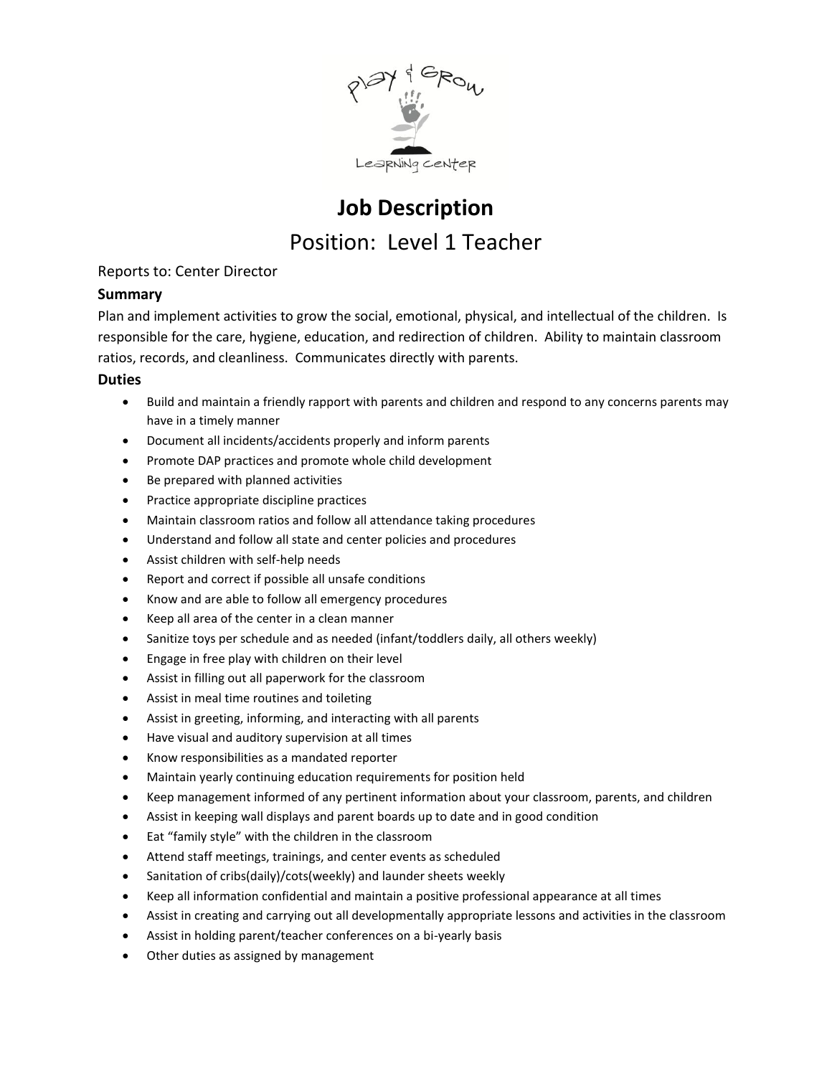

# **Job Description** Position: Level 1 Teacher

# Reports to: Center Director

## **Summary**

Plan and implement activities to grow the social, emotional, physical, and intellectual of the children. Is responsible for the care, hygiene, education, and redirection of children. Ability to maintain classroom ratios, records, and cleanliness. Communicates directly with parents.

#### **Duties**

- Build and maintain a friendly rapport with parents and children and respond to any concerns parents may have in a timely manner
- Document all incidents/accidents properly and inform parents
- Promote DAP practices and promote whole child development
- Be prepared with planned activities
- Practice appropriate discipline practices
- Maintain classroom ratios and follow all attendance taking procedures
- Understand and follow all state and center policies and procedures
- Assist children with self-help needs
- Report and correct if possible all unsafe conditions
- Know and are able to follow all emergency procedures
- Keep all area of the center in a clean manner
- Sanitize toys per schedule and as needed (infant/toddlers daily, all others weekly)
- Engage in free play with children on their level
- Assist in filling out all paperwork for the classroom
- Assist in meal time routines and toileting
- Assist in greeting, informing, and interacting with all parents
- Have visual and auditory supervision at all times
- Know responsibilities as a mandated reporter
- Maintain yearly continuing education requirements for position held
- Keep management informed of any pertinent information about your classroom, parents, and children
- Assist in keeping wall displays and parent boards up to date and in good condition
- Eat "family style" with the children in the classroom
- Attend staff meetings, trainings, and center events as scheduled
- Sanitation of cribs(daily)/cots(weekly) and launder sheets weekly
- Keep all information confidential and maintain a positive professional appearance at all times
- Assist in creating and carrying out all developmentally appropriate lessons and activities in the classroom
- Assist in holding parent/teacher conferences on a bi-yearly basis
- Other duties as assigned by management